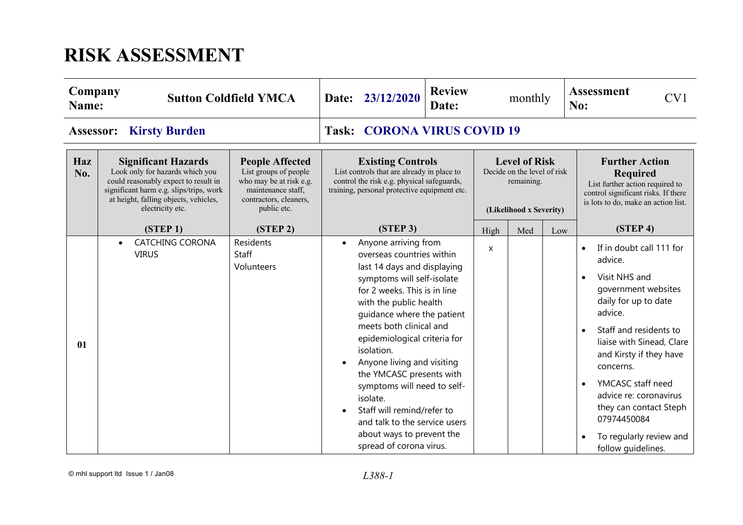## **RISK ASSESSMENT**

| Company<br>Name: |                                                                                                                                                                                                               | <b>Sutton Coldfield YMCA</b>                                                                                                                                                                                                                                                                                                                                                                        | 23/12/2020<br>Date:                                                                                                                                                                                                                                                                                                                                                                                                                                                                                                      | <b>Review</b><br>Date: | monthly |                                                                                                                                                           |     | <b>Assessment</b><br>CV1<br>No:                                                                                                                                                                                                                                                                                                                                                                            |  |
|------------------|---------------------------------------------------------------------------------------------------------------------------------------------------------------------------------------------------------------|-----------------------------------------------------------------------------------------------------------------------------------------------------------------------------------------------------------------------------------------------------------------------------------------------------------------------------------------------------------------------------------------------------|--------------------------------------------------------------------------------------------------------------------------------------------------------------------------------------------------------------------------------------------------------------------------------------------------------------------------------------------------------------------------------------------------------------------------------------------------------------------------------------------------------------------------|------------------------|---------|-----------------------------------------------------------------------------------------------------------------------------------------------------------|-----|------------------------------------------------------------------------------------------------------------------------------------------------------------------------------------------------------------------------------------------------------------------------------------------------------------------------------------------------------------------------------------------------------------|--|
| Assessor:        | <b>Kirsty Burden</b>                                                                                                                                                                                          |                                                                                                                                                                                                                                                                                                                                                                                                     | <b>CORONA VIRUS COVID 19</b><br>Task:                                                                                                                                                                                                                                                                                                                                                                                                                                                                                    |                        |         |                                                                                                                                                           |     |                                                                                                                                                                                                                                                                                                                                                                                                            |  |
| Haz<br>No.       | <b>Significant Hazards</b><br>Look only for hazards which you<br>could reasonably expect to result in<br>significant harm e.g. slips/trips, work<br>at height, falling objects, vehicles,<br>electricity etc. | <b>Level of Risk</b><br><b>Existing Controls</b><br><b>People Affected</b><br>List controls that are already in place to<br>List groups of people<br>Decide on the level of risk<br>who may be at risk e.g.<br>control the risk e.g. physical safeguards,<br>maintenance staff,<br>training, personal protective equipment etc.<br>contractors, cleaners,<br>public etc.<br>(Likelihood x Severity) |                                                                                                                                                                                                                                                                                                                                                                                                                                                                                                                          | remaining.             |         | <b>Further Action</b><br><b>Required</b><br>List further action required to<br>control significant risks. If there<br>is lots to do, make an action list. |     |                                                                                                                                                                                                                                                                                                                                                                                                            |  |
|                  | (STEP <sub>1</sub> )                                                                                                                                                                                          | (STEP <sub>2</sub> )                                                                                                                                                                                                                                                                                                                                                                                | (STEP 3)                                                                                                                                                                                                                                                                                                                                                                                                                                                                                                                 |                        | High    | Med                                                                                                                                                       | Low | (STEP <sub>4</sub> )                                                                                                                                                                                                                                                                                                                                                                                       |  |
| 01               | <b>CATCHING CORONA</b><br>$\bullet$<br><b>VIRUS</b>                                                                                                                                                           | Residents<br>Staff<br>Volunteers                                                                                                                                                                                                                                                                                                                                                                    | Anyone arriving from<br>$\bullet$<br>overseas countries within<br>last 14 days and displaying<br>symptoms will self-isolate<br>for 2 weeks. This is in line<br>with the public health<br>guidance where the patient<br>meets both clinical and<br>epidemiological criteria for<br>isolation.<br>Anyone living and visiting<br>the YMCASC presents with<br>symptoms will need to self-<br>isolate.<br>Staff will remind/refer to<br>and talk to the service users<br>about ways to prevent the<br>spread of corona virus. |                        | X       |                                                                                                                                                           |     | If in doubt call 111 for<br>$\bullet$<br>advice.<br>Visit NHS and<br>$\bullet$<br>government websites<br>daily for up to date<br>advice.<br>Staff and residents to<br>$\bullet$<br>liaise with Sinead, Clare<br>and Kirsty if they have<br>concerns.<br>YMCASC staff need<br>$\bullet$<br>advice re: coronavirus<br>they can contact Steph<br>07974450084<br>To regularly review and<br>follow quidelines. |  |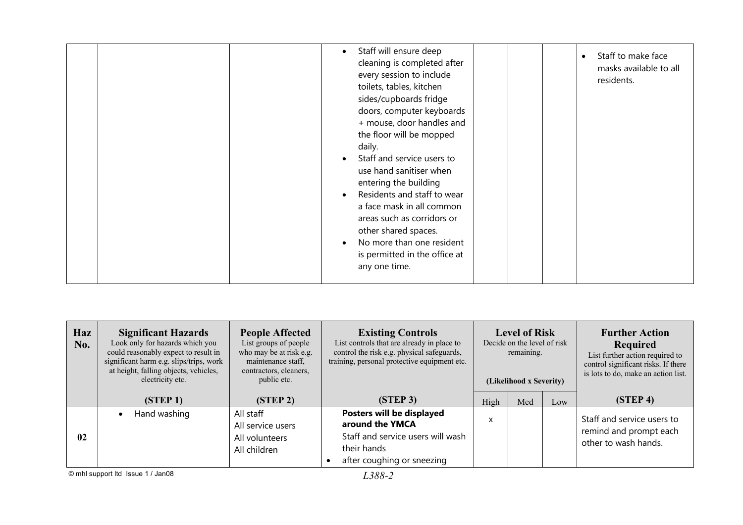|  | Staff will ensure deep<br>$\bullet$<br>cleaning is completed after<br>every session to include<br>toilets, tables, kitchen<br>sides/cupboards fridge<br>doors, computer keyboards<br>+ mouse, door handles and<br>the floor will be mopped<br>daily.<br>Staff and service users to<br>use hand sanitiser when<br>entering the building<br>Residents and staff to wear<br>a face mask in all common<br>areas such as corridors or<br>other shared spaces.<br>No more than one resident<br>is permitted in the office at<br>any one time. | Staff to make face<br>$\bullet$<br>masks available to all<br>residents. |
|--|-----------------------------------------------------------------------------------------------------------------------------------------------------------------------------------------------------------------------------------------------------------------------------------------------------------------------------------------------------------------------------------------------------------------------------------------------------------------------------------------------------------------------------------------|-------------------------------------------------------------------------|
|--|-----------------------------------------------------------------------------------------------------------------------------------------------------------------------------------------------------------------------------------------------------------------------------------------------------------------------------------------------------------------------------------------------------------------------------------------------------------------------------------------------------------------------------------------|-------------------------------------------------------------------------|

| Haz<br>No. | <b>Significant Hazards</b><br>Look only for hazards which you<br>could reasonably expect to result in<br>significant harm e.g. slips/trips, work<br>at height, falling objects, vehicles,<br>electricity etc. | <b>People Affected</b><br>List groups of people<br>who may be at risk e.g.<br>maintenance staff,<br>contractors, cleaners,<br>public etc. | <b>Existing Controls</b><br>List controls that are already in place to<br>control the risk e.g. physical safeguards,<br>training, personal protective equipment etc. | <b>Level of Risk</b><br>Decide on the level of risk<br>remaining.<br>(Likelihood x Severity) |            |  | <b>Further Action</b><br>Required<br>List further action required to<br>control significant risks. If there<br>is lots to do, make an action list. |
|------------|---------------------------------------------------------------------------------------------------------------------------------------------------------------------------------------------------------------|-------------------------------------------------------------------------------------------------------------------------------------------|----------------------------------------------------------------------------------------------------------------------------------------------------------------------|----------------------------------------------------------------------------------------------|------------|--|----------------------------------------------------------------------------------------------------------------------------------------------------|
|            | (STEP 1)                                                                                                                                                                                                      | (STEP2)                                                                                                                                   | (STEP <sub>3</sub> )                                                                                                                                                 | High                                                                                         | Med<br>Low |  | (STEP <sub>4</sub> )                                                                                                                               |
| 02         | Hand washing                                                                                                                                                                                                  | All staff<br>All service users<br>All volunteers<br>All children                                                                          | Posters will be displayed<br>around the YMCA<br>Staff and service users will wash<br>their hands<br>after coughing or sneezing                                       | X                                                                                            |            |  | Staff and service users to<br>remind and prompt each<br>other to wash hands.                                                                       |

© mhl support ltd Issue 1 / Jan08 *L388-2*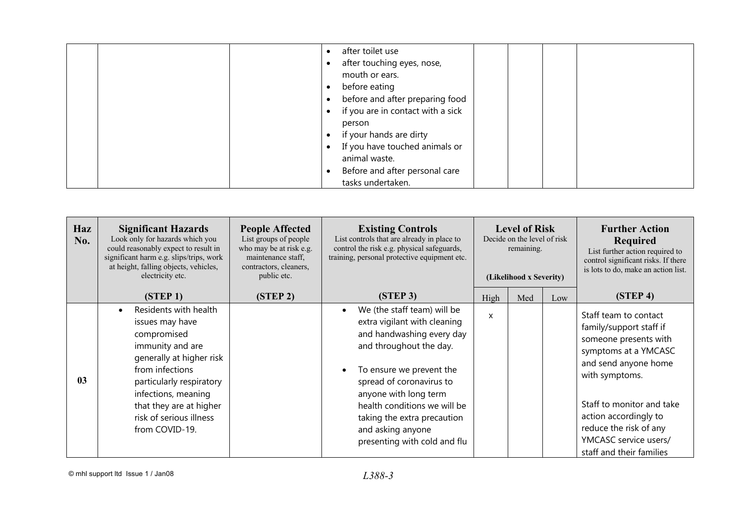| after toilet use<br>after touching eyes, nose,<br>mouth or ears.<br>before eating<br>before and after preparing food<br>if you are in contact with a sick<br>person<br>if your hands are dirty<br>If you have touched animals or |
|----------------------------------------------------------------------------------------------------------------------------------------------------------------------------------------------------------------------------------|
| animal waste.                                                                                                                                                                                                                    |
| Before and after personal care<br>tasks undertaken.                                                                                                                                                                              |

| Haz<br>No.     | <b>Significant Hazards</b><br>Look only for hazards which you<br>could reasonably expect to result in<br>significant harm e.g. slips/trips, work<br>at height, falling objects, vehicles,<br>electricity etc.                                         | <b>People Affected</b><br>List groups of people<br>who may be at risk e.g.<br>maintenance staff,<br>contractors, cleaners,<br>public etc. | <b>Existing Controls</b><br>List controls that are already in place to<br>control the risk e.g. physical safeguards,<br>training, personal protective equipment etc.                                                                                                                                                     | <b>Level of Risk</b><br>Decide on the level of risk<br>remaining.<br>(Likelihood x Severity) |     |     | <b>Further Action</b><br><b>Required</b><br>List further action required to<br>control significant risks. If there<br>is lots to do, make an action list.                                                                                                                        |
|----------------|-------------------------------------------------------------------------------------------------------------------------------------------------------------------------------------------------------------------------------------------------------|-------------------------------------------------------------------------------------------------------------------------------------------|--------------------------------------------------------------------------------------------------------------------------------------------------------------------------------------------------------------------------------------------------------------------------------------------------------------------------|----------------------------------------------------------------------------------------------|-----|-----|----------------------------------------------------------------------------------------------------------------------------------------------------------------------------------------------------------------------------------------------------------------------------------|
|                | (STEP 1)                                                                                                                                                                                                                                              | (STEP <sub>2</sub> )                                                                                                                      | (STEP <sub>3</sub> )                                                                                                                                                                                                                                                                                                     | High                                                                                         | Med | Low | (STEP <sub>4</sub> )                                                                                                                                                                                                                                                             |
| 0 <sub>3</sub> | Residents with health<br>issues may have<br>compromised<br>immunity and are<br>generally at higher risk<br>from infections<br>particularly respiratory<br>infections, meaning<br>that they are at higher<br>risk of serious illness<br>from COVID-19. |                                                                                                                                           | We (the staff team) will be<br>extra vigilant with cleaning<br>and handwashing every day<br>and throughout the day.<br>To ensure we prevent the<br>spread of coronavirus to<br>anyone with long term<br>health conditions we will be<br>taking the extra precaution<br>and asking anyone<br>presenting with cold and flu | X                                                                                            |     |     | Staff team to contact<br>family/support staff if<br>someone presents with<br>symptoms at a YMCASC<br>and send anyone home<br>with symptoms.<br>Staff to monitor and take<br>action accordingly to<br>reduce the risk of any<br>YMCASC service users/<br>staff and their families |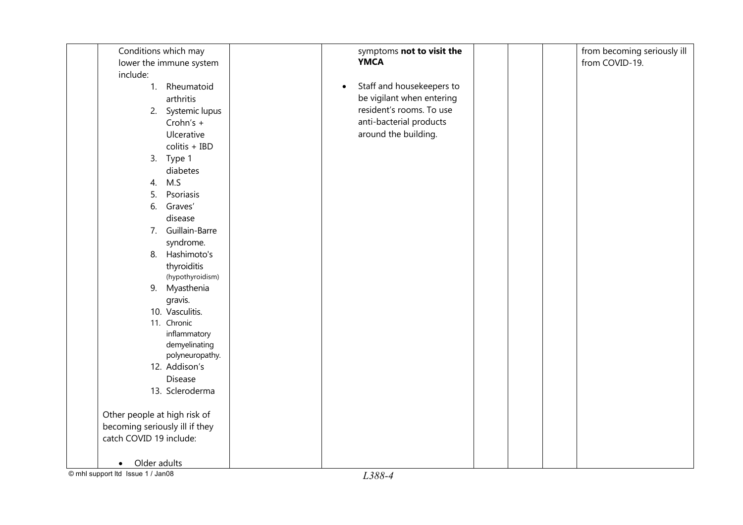| Conditions which may           | symptoms not to visit the              | from becoming seriously ill |
|--------------------------------|----------------------------------------|-----------------------------|
| lower the immune system        | <b>YMCA</b>                            | from COVID-19.              |
| include:                       |                                        |                             |
| 1. Rheumatoid                  | Staff and housekeepers to<br>$\bullet$ |                             |
| arthritis                      | be vigilant when entering              |                             |
| 2. Systemic lupus              | resident's rooms. To use               |                             |
| Crohn's +                      | anti-bacterial products                |                             |
| Ulcerative                     | around the building.                   |                             |
| colitis + IBD                  |                                        |                             |
| 3. Type 1                      |                                        |                             |
| diabetes                       |                                        |                             |
| M.S<br>4.                      |                                        |                             |
| 5.<br>Psoriasis                |                                        |                             |
| Graves'<br>6.                  |                                        |                             |
| disease                        |                                        |                             |
| 7. Guillain-Barre              |                                        |                             |
| syndrome.                      |                                        |                             |
| 8. Hashimoto's                 |                                        |                             |
| thyroiditis                    |                                        |                             |
| (hypothyroidism)               |                                        |                             |
| Myasthenia<br>9.               |                                        |                             |
| gravis.                        |                                        |                             |
| 10. Vasculitis.                |                                        |                             |
| 11. Chronic                    |                                        |                             |
| inflammatory                   |                                        |                             |
| demyelinating                  |                                        |                             |
| polyneuropathy.                |                                        |                             |
| 12. Addison's                  |                                        |                             |
| Disease                        |                                        |                             |
| 13. Scleroderma                |                                        |                             |
| Other people at high risk of   |                                        |                             |
| becoming seriously ill if they |                                        |                             |
| catch COVID 19 include:        |                                        |                             |
|                                |                                        |                             |
| Older adults<br>$\bullet$      |                                        |                             |

 $\overline{\textcircled{\small\textrm{cm}}}$  mhl support ltd Issue 1 / Jan08